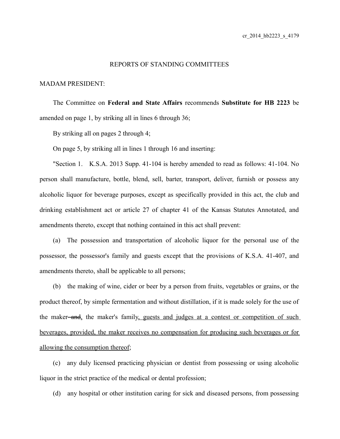## REPORTS OF STANDING COMMITTEES

## MADAM PRESIDENT:

The Committee on **Federal and State Affairs** recommends **Substitute for HB 2223** be amended on page 1, by striking all in lines 6 through 36;

By striking all on pages 2 through 4;

On page 5, by striking all in lines 1 through 16 and inserting:

"Section 1. K.S.A. 2013 Supp. 41-104 is hereby amended to read as follows: 41-104. No person shall manufacture, bottle, blend, sell, barter, transport, deliver, furnish or possess any alcoholic liquor for beverage purposes, except as specifically provided in this act, the club and drinking establishment act or article 27 of chapter 41 of the Kansas Statutes Annotated, and amendments thereto, except that nothing contained in this act shall prevent:

(a) The possession and transportation of alcoholic liquor for the personal use of the possessor, the possessor's family and guests except that the provisions of K.S.A. 41-407, and amendments thereto, shall be applicable to all persons;

(b) the making of wine, cider or beer by a person from fruits, vegetables or grains, or the product thereof, by simple fermentation and without distillation, if it is made solely for the use of the maker-and, the maker's family, guests and judges at a contest or competition of such beverages, provided, the maker receives no compensation for producing such beverages or for allowing the consumption thereof;

(c) any duly licensed practicing physician or dentist from possessing or using alcoholic liquor in the strict practice of the medical or dental profession;

(d) any hospital or other institution caring for sick and diseased persons, from possessing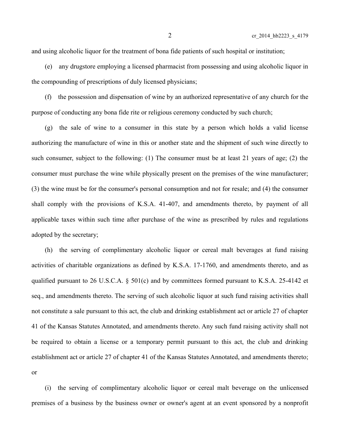and using alcoholic liquor for the treatment of bona fide patients of such hospital or institution;

(e) any drugstore employing a licensed pharmacist from possessing and using alcoholic liquor in the compounding of prescriptions of duly licensed physicians;

(f) the possession and dispensation of wine by an authorized representative of any church for the purpose of conducting any bona fide rite or religious ceremony conducted by such church;

(g) the sale of wine to a consumer in this state by a person which holds a valid license authorizing the manufacture of wine in this or another state and the shipment of such wine directly to such consumer, subject to the following: (1) The consumer must be at least 21 years of age; (2) the consumer must purchase the wine while physically present on the premises of the wine manufacturer; (3) the wine must be for the consumer's personal consumption and not for resale; and (4) the consumer shall comply with the provisions of K.S.A. 41-407, and amendments thereto, by payment of all applicable taxes within such time after purchase of the wine as prescribed by rules and regulations adopted by the secretary;

(h) the serving of complimentary alcoholic liquor or cereal malt beverages at fund raising activities of charitable organizations as defined by K.S.A. 17-1760, and amendments thereto, and as qualified pursuant to 26 U.S.C.A. § 501(c) and by committees formed pursuant to K.S.A. 25-4142 et seq., and amendments thereto. The serving of such alcoholic liquor at such fund raising activities shall not constitute a sale pursuant to this act, the club and drinking establishment act or article 27 of chapter 41 of the Kansas Statutes Annotated, and amendments thereto. Any such fund raising activity shall not be required to obtain a license or a temporary permit pursuant to this act, the club and drinking establishment act or article 27 of chapter 41 of the Kansas Statutes Annotated, and amendments thereto;

or

(i) the serving of complimentary alcoholic liquor or cereal malt beverage on the unlicensed premises of a business by the business owner or owner's agent at an event sponsored by a nonprofit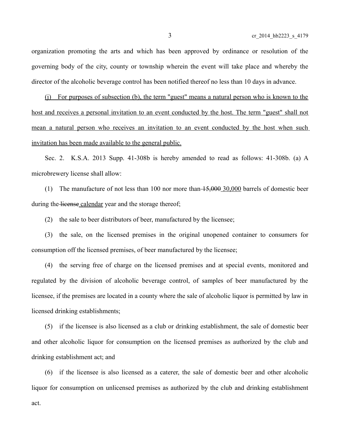organization promoting the arts and which has been approved by ordinance or resolution of the governing body of the city, county or township wherein the event will take place and whereby the director of the alcoholic beverage control has been notified thereof no less than 10 days in advance.

(j) For purposes of subsection (b), the term "guest" means a natural person who is known to the host and receives a personal invitation to an event conducted by the host. The term "guest" shall not mean a natural person who receives an invitation to an event conducted by the host when such invitation has been made available to the general public.

Sec. 2. K.S.A. 2013 Supp. 41-308b is hereby amended to read as follows: 41-308b. (a) A microbrewery license shall allow:

(1) The manufacture of not less than 100 nor more than  $\frac{15,000,30,000}{20,000}$  barrels of domestic beer during the license calendar year and the storage thereof;

(2) the sale to beer distributors of beer, manufactured by the licensee;

(3) the sale, on the licensed premises in the original unopened container to consumers for consumption off the licensed premises, of beer manufactured by the licensee;

(4) the serving free of charge on the licensed premises and at special events, monitored and regulated by the division of alcoholic beverage control, of samples of beer manufactured by the licensee, if the premises are located in a county where the sale of alcoholic liquor is permitted by law in licensed drinking establishments;

(5) if the licensee is also licensed as a club or drinking establishment, the sale of domestic beer and other alcoholic liquor for consumption on the licensed premises as authorized by the club and drinking establishment act; and

(6) if the licensee is also licensed as a caterer, the sale of domestic beer and other alcoholic liquor for consumption on unlicensed premises as authorized by the club and drinking establishment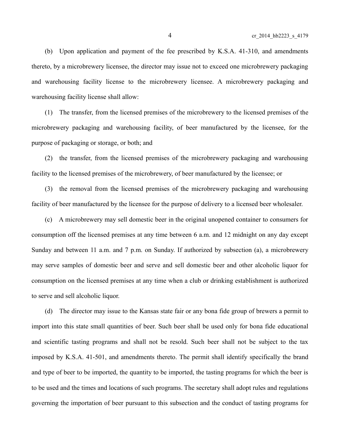(b) Upon application and payment of the fee prescribed by K.S.A. 41-310, and amendments thereto, by a microbrewery licensee, the director may issue not to exceed one microbrewery packaging and warehousing facility license to the microbrewery licensee. A microbrewery packaging and warehousing facility license shall allow:

(1) The transfer, from the licensed premises of the microbrewery to the licensed premises of the microbrewery packaging and warehousing facility, of beer manufactured by the licensee, for the purpose of packaging or storage, or both; and

(2) the transfer, from the licensed premises of the microbrewery packaging and warehousing facility to the licensed premises of the microbrewery, of beer manufactured by the licensee; or

(3) the removal from the licensed premises of the microbrewery packaging and warehousing facility of beer manufactured by the licensee for the purpose of delivery to a licensed beer wholesaler.

(c) A microbrewery may sell domestic beer in the original unopened container to consumers for consumption off the licensed premises at any time between 6 a.m. and 12 midnight on any day except Sunday and between 11 a.m. and 7 p.m. on Sunday. If authorized by subsection (a), a microbrewery may serve samples of domestic beer and serve and sell domestic beer and other alcoholic liquor for consumption on the licensed premises at any time when a club or drinking establishment is authorized to serve and sell alcoholic liquor.

(d) The director may issue to the Kansas state fair or any bona fide group of brewers a permit to import into this state small quantities of beer. Such beer shall be used only for bona fide educational and scientific tasting programs and shall not be resold. Such beer shall not be subject to the tax imposed by K.S.A. 41-501, and amendments thereto. The permit shall identify specifically the brand and type of beer to be imported, the quantity to be imported, the tasting programs for which the beer is to be used and the times and locations of such programs. The secretary shall adopt rules and regulations governing the importation of beer pursuant to this subsection and the conduct of tasting programs for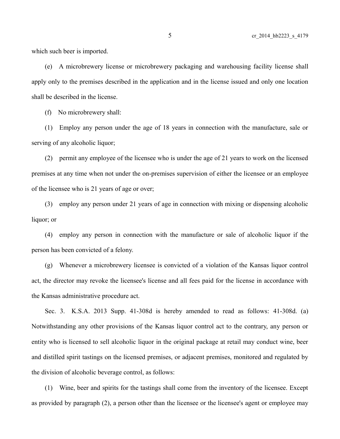which such beer is imported.

(e) A microbrewery license or microbrewery packaging and warehousing facility license shall apply only to the premises described in the application and in the license issued and only one location shall be described in the license.

(f) No microbrewery shall:

(1) Employ any person under the age of 18 years in connection with the manufacture, sale or serving of any alcoholic liquor;

(2) permit any employee of the licensee who is under the age of 21 years to work on the licensed premises at any time when not under the on-premises supervision of either the licensee or an employee of the licensee who is 21 years of age or over;

(3) employ any person under 21 years of age in connection with mixing or dispensing alcoholic liquor; or

(4) employ any person in connection with the manufacture or sale of alcoholic liquor if the person has been convicted of a felony.

(g) Whenever a microbrewery licensee is convicted of a violation of the Kansas liquor control act, the director may revoke the licensee's license and all fees paid for the license in accordance with the Kansas administrative procedure act.

Sec. 3. K.S.A. 2013 Supp. 41-308d is hereby amended to read as follows: 41-308d. (a) Notwithstanding any other provisions of the Kansas liquor control act to the contrary, any person or entity who is licensed to sell alcoholic liquor in the original package at retail may conduct wine, beer and distilled spirit tastings on the licensed premises, or adjacent premises, monitored and regulated by the division of alcoholic beverage control, as follows:

(1) Wine, beer and spirits for the tastings shall come from the inventory of the licensee. Except as provided by paragraph (2), a person other than the licensee or the licensee's agent or employee may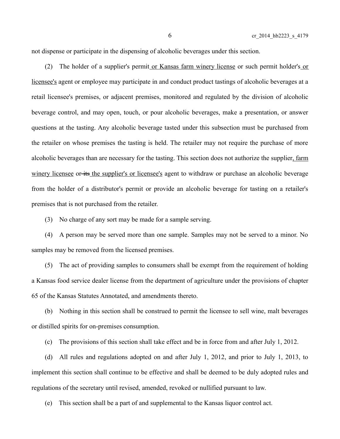not dispense or participate in the dispensing of alcoholic beverages under this section.

(2) The holder of a supplier's permit or Kansas farm winery license or such permit holder's or licensee's agent or employee may participate in and conduct product tastings of alcoholic beverages at a retail licensee's premises, or adjacent premises, monitored and regulated by the division of alcoholic beverage control, and may open, touch, or pour alcoholic beverages, make a presentation, or answer questions at the tasting. Any alcoholic beverage tasted under this subsection must be purchased from the retailer on whose premises the tasting is held. The retailer may not require the purchase of more alcoholic beverages than are necessary for the tasting. This section does not authorize the supplier, farm winery licensee or its the supplier's or licensee's agent to withdraw or purchase an alcoholic beverage from the holder of a distributor's permit or provide an alcoholic beverage for tasting on a retailer's premises that is not purchased from the retailer.

(3) No charge of any sort may be made for a sample serving.

(4) A person may be served more than one sample. Samples may not be served to a minor. No samples may be removed from the licensed premises.

(5) The act of providing samples to consumers shall be exempt from the requirement of holding a Kansas food service dealer license from the department of agriculture under the provisions of chapter 65 of the Kansas Statutes Annotated, and amendments thereto.

(b) Nothing in this section shall be construed to permit the licensee to sell wine, malt beverages or distilled spirits for on-premises consumption.

(c) The provisions of this section shall take effect and be in force from and after July 1, 2012.

(d) All rules and regulations adopted on and after July 1, 2012, and prior to July 1, 2013, to implement this section shall continue to be effective and shall be deemed to be duly adopted rules and regulations of the secretary until revised, amended, revoked or nullified pursuant to law.

(e) This section shall be a part of and supplemental to the Kansas liquor control act.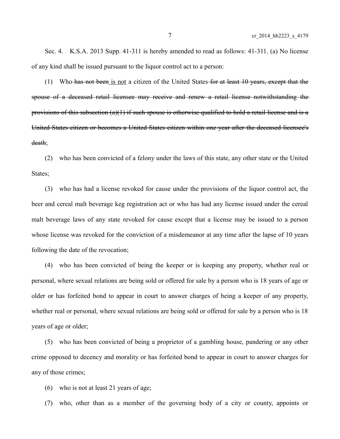Sec. 4. K.S.A. 2013 Supp. 41-311 is hereby amended to read as follows: 41-311. (a) No license of any kind shall be issued pursuant to the liquor control act to a person:

(1) Who has not been is not a citizen of the United States for at least 10 years, except that the spouse of a deceased retail licensee may receive and renew a retail license notwithstanding the provisions of this subsection  $(a)(1)$  if such spouse is otherwise qualified to hold a retail license and is a United States citizen or becomes a United States citizen within one year after the deceased licensee's death;

(2) who has been convicted of a felony under the laws of this state, any other state or the United States;

(3) who has had a license revoked for cause under the provisions of the liquor control act, the beer and cereal malt beverage keg registration act or who has had any license issued under the cereal malt beverage laws of any state revoked for cause except that a license may be issued to a person whose license was revoked for the conviction of a misdemeanor at any time after the lapse of 10 years following the date of the revocation;

(4) who has been convicted of being the keeper or is keeping any property, whether real or personal, where sexual relations are being sold or offered for sale by a person who is 18 years of age or older or has forfeited bond to appear in court to answer charges of being a keeper of any property, whether real or personal, where sexual relations are being sold or offered for sale by a person who is 18 years of age or older;

(5) who has been convicted of being a proprietor of a gambling house, pandering or any other crime opposed to decency and morality or has forfeited bond to appear in court to answer charges for any of those crimes;

(6) who is not at least 21 years of age;

(7) who, other than as a member of the governing body of a city or county, appoints or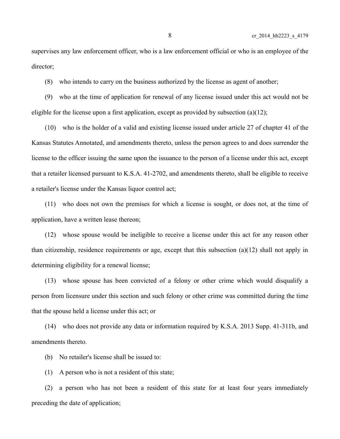supervises any law enforcement officer, who is a law enforcement official or who is an employee of the director;

(8) who intends to carry on the business authorized by the license as agent of another;

(9) who at the time of application for renewal of any license issued under this act would not be eligible for the license upon a first application, except as provided by subsection  $(a)(12)$ ;

(10) who is the holder of a valid and existing license issued under article 27 of chapter 41 of the Kansas Statutes Annotated, and amendments thereto, unless the person agrees to and does surrender the license to the officer issuing the same upon the issuance to the person of a license under this act, except that a retailer licensed pursuant to K.S.A. 41-2702, and amendments thereto, shall be eligible to receive a retailer's license under the Kansas liquor control act;

(11) who does not own the premises for which a license is sought, or does not, at the time of application, have a written lease thereon;

(12) whose spouse would be ineligible to receive a license under this act for any reason other than citizenship, residence requirements or age, except that this subsection (a)(12) shall not apply in determining eligibility for a renewal license;

(13) whose spouse has been convicted of a felony or other crime which would disqualify a person from licensure under this section and such felony or other crime was committed during the time that the spouse held a license under this act; or

(14) who does not provide any data or information required by K.S.A. 2013 Supp. 41-311b, and amendments thereto.

(b) No retailer's license shall be issued to:

(1) A person who is not a resident of this state;

(2) a person who has not been a resident of this state for at least four years immediately preceding the date of application;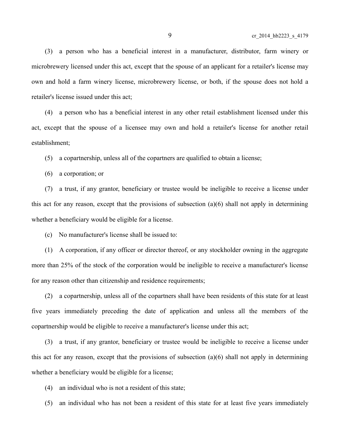(3) a person who has a beneficial interest in a manufacturer, distributor, farm winery or microbrewery licensed under this act, except that the spouse of an applicant for a retailer's license may own and hold a farm winery license, microbrewery license, or both, if the spouse does not hold a retailer's license issued under this act;

(4) a person who has a beneficial interest in any other retail establishment licensed under this act, except that the spouse of a licensee may own and hold a retailer's license for another retail establishment;

(5) a copartnership, unless all of the copartners are qualified to obtain a license;

(6) a corporation; or

(7) a trust, if any grantor, beneficiary or trustee would be ineligible to receive a license under this act for any reason, except that the provisions of subsection (a)(6) shall not apply in determining whether a beneficiary would be eligible for a license.

(c) No manufacturer's license shall be issued to:

(1) A corporation, if any officer or director thereof, or any stockholder owning in the aggregate more than 25% of the stock of the corporation would be ineligible to receive a manufacturer's license for any reason other than citizenship and residence requirements;

(2) a copartnership, unless all of the copartners shall have been residents of this state for at least five years immediately preceding the date of application and unless all the members of the copartnership would be eligible to receive a manufacturer's license under this act;

(3) a trust, if any grantor, beneficiary or trustee would be ineligible to receive a license under this act for any reason, except that the provisions of subsection (a)(6) shall not apply in determining whether a beneficiary would be eligible for a license;

(4) an individual who is not a resident of this state;

(5) an individual who has not been a resident of this state for at least five years immediately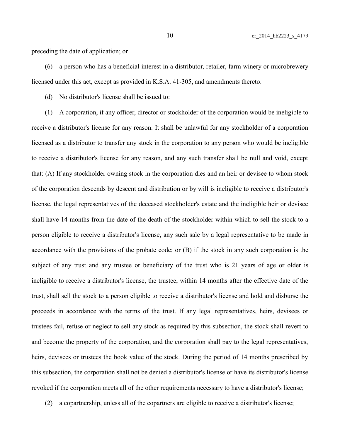preceding the date of application; or

(6) a person who has a beneficial interest in a distributor, retailer, farm winery or microbrewery licensed under this act, except as provided in K.S.A. 41-305, and amendments thereto.

(d) No distributor's license shall be issued to:

(1) A corporation, if any officer, director or stockholder of the corporation would be ineligible to receive a distributor's license for any reason. It shall be unlawful for any stockholder of a corporation licensed as a distributor to transfer any stock in the corporation to any person who would be ineligible to receive a distributor's license for any reason, and any such transfer shall be null and void, except that: (A) If any stockholder owning stock in the corporation dies and an heir or devisee to whom stock of the corporation descends by descent and distribution or by will is ineligible to receive a distributor's license, the legal representatives of the deceased stockholder's estate and the ineligible heir or devisee shall have 14 months from the date of the death of the stockholder within which to sell the stock to a person eligible to receive a distributor's license, any such sale by a legal representative to be made in accordance with the provisions of the probate code; or (B) if the stock in any such corporation is the subject of any trust and any trustee or beneficiary of the trust who is 21 years of age or older is ineligible to receive a distributor's license, the trustee, within 14 months after the effective date of the trust, shall sell the stock to a person eligible to receive a distributor's license and hold and disburse the proceeds in accordance with the terms of the trust. If any legal representatives, heirs, devisees or trustees fail, refuse or neglect to sell any stock as required by this subsection, the stock shall revert to and become the property of the corporation, and the corporation shall pay to the legal representatives, heirs, devisees or trustees the book value of the stock. During the period of 14 months prescribed by this subsection, the corporation shall not be denied a distributor's license or have its distributor's license revoked if the corporation meets all of the other requirements necessary to have a distributor's license;

(2) a copartnership, unless all of the copartners are eligible to receive a distributor's license;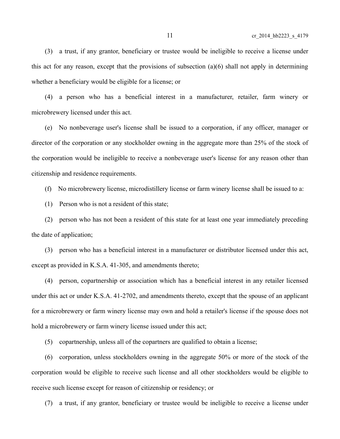(3) a trust, if any grantor, beneficiary or trustee would be ineligible to receive a license under this act for any reason, except that the provisions of subsection (a)(6) shall not apply in determining whether a beneficiary would be eligible for a license; or

(4) a person who has a beneficial interest in a manufacturer, retailer, farm winery or microbrewery licensed under this act.

(e) No nonbeverage user's license shall be issued to a corporation, if any officer, manager or director of the corporation or any stockholder owning in the aggregate more than 25% of the stock of the corporation would be ineligible to receive a nonbeverage user's license for any reason other than citizenship and residence requirements.

(f) No microbrewery license, microdistillery license or farm winery license shall be issued to a:

(1) Person who is not a resident of this state;

(2) person who has not been a resident of this state for at least one year immediately preceding the date of application;

(3) person who has a beneficial interest in a manufacturer or distributor licensed under this act, except as provided in K.S.A. 41-305, and amendments thereto;

(4) person, copartnership or association which has a beneficial interest in any retailer licensed under this act or under K.S.A. 41-2702, and amendments thereto, except that the spouse of an applicant for a microbrewery or farm winery license may own and hold a retailer's license if the spouse does not hold a microbrewery or farm winery license issued under this act;

(5) copartnership, unless all of the copartners are qualified to obtain a license;

(6) corporation, unless stockholders owning in the aggregate 50% or more of the stock of the corporation would be eligible to receive such license and all other stockholders would be eligible to receive such license except for reason of citizenship or residency; or

(7) a trust, if any grantor, beneficiary or trustee would be ineligible to receive a license under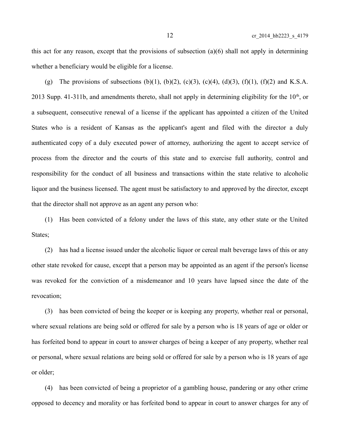this act for any reason, except that the provisions of subsection (a)(6) shall not apply in determining whether a beneficiary would be eligible for a license.

(g) The provisions of subsections (b)(1), (b)(2), (c)(3), (c)(4), (d)(3), (f)(1), (f)(2) and K.S.A. 2013 Supp. 41-311b, and amendments thereto, shall not apply in determining eligibility for the  $10<sup>th</sup>$ , or a subsequent, consecutive renewal of a license if the applicant has appointed a citizen of the United States who is a resident of Kansas as the applicant's agent and filed with the director a duly authenticated copy of a duly executed power of attorney, authorizing the agent to accept service of process from the director and the courts of this state and to exercise full authority, control and responsibility for the conduct of all business and transactions within the state relative to alcoholic liquor and the business licensed. The agent must be satisfactory to and approved by the director, except that the director shall not approve as an agent any person who:

(1) Has been convicted of a felony under the laws of this state, any other state or the United States;

(2) has had a license issued under the alcoholic liquor or cereal malt beverage laws of this or any other state revoked for cause, except that a person may be appointed as an agent if the person's license was revoked for the conviction of a misdemeanor and 10 years have lapsed since the date of the revocation;

(3) has been convicted of being the keeper or is keeping any property, whether real or personal, where sexual relations are being sold or offered for sale by a person who is 18 years of age or older or has forfeited bond to appear in court to answer charges of being a keeper of any property, whether real or personal, where sexual relations are being sold or offered for sale by a person who is 18 years of age or older;

(4) has been convicted of being a proprietor of a gambling house, pandering or any other crime opposed to decency and morality or has forfeited bond to appear in court to answer charges for any of